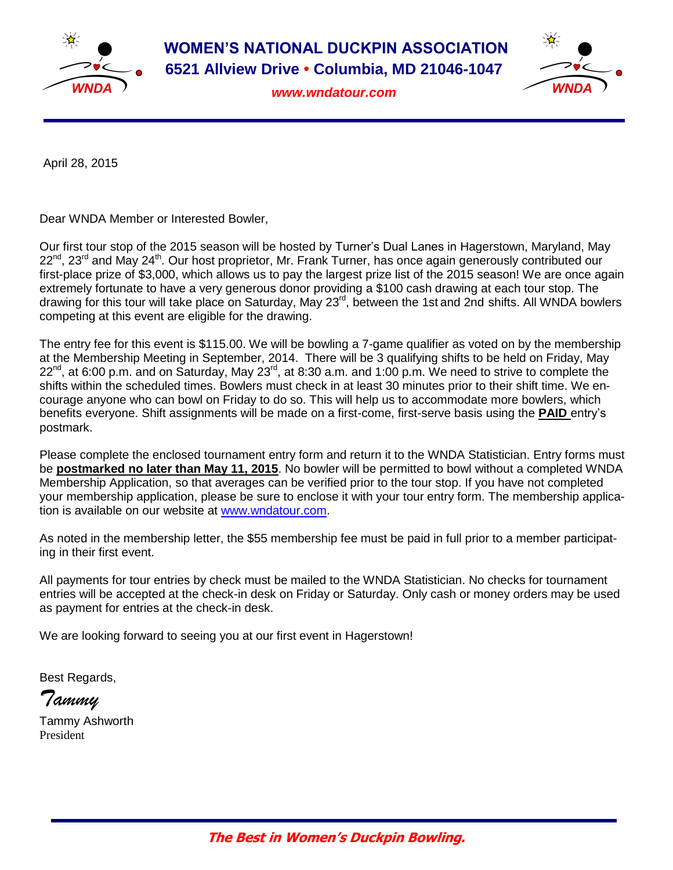

**WOMEN'S NATIONAL DUCKPIN ASSOCIATION 6521 Allview Drive • Columbia, MD 21046-1047**

*www.wndatour.com*



April 28, 2015

Dear WNDA Member or Interested Bowler,

Our first tour stop of the 2015 season will be hosted by Turner's Dual Lanes in Hagerstown, Maryland, May  $22^{nd}$ ,  $23^{rd}$  and May  $24^{th}$ . Our host proprietor, Mr. Frank Turner, has once again generously contributed our first-place prize of \$3,000, which allows us to pay the largest prize list of the 2015 season! We are once again extremely fortunate to have a very generous donor providing a \$100 cash drawing at each tour stop. The drawing for this tour will take place on Saturday, May 23<sup>rd</sup>, between the 1st and 2nd shifts. All WNDA bowlers competing at this event are eligible for the drawing.

The entry fee for this event is \$115.00. We will be bowling a 7-game qualifier as voted on by the membership at the Membership Meeting in September, 2014. There will be 3 qualifying shifts to be held on Friday, May  $22^{nd}$ , at 6:00 p.m. and on Saturday, May 23 $^{rd}$ , at 8:30 a.m. and 1:00 p.m. We need to strive to complete the shifts within the scheduled times. Bowlers must check in at least 30 minutes prior to their shift time. We encourage anyone who can bowl on Friday to do so. This will help us to accommodate more bowlers, which benefits everyone. Shift assignments will be made on a first-come, first-serve basis using the **PAID** entry's postmark.

Please complete the enclosed tournament entry form and return it to the WNDA Statistician. Entry forms must be **postmarked no later than May 11, 2015**. No bowler will be permitted to bowl without a completed WNDA Membership Application, so that averages can be verified prior to the tour stop. If you have not completed your membership application, please be sure to enclose it with your tour entry form. The membership application is available on our website at [www.wndatour.com.](http://www.wndatour.com/)

As noted in the membership letter, the \$55 membership fee must be paid in full prior to a member participating in their first event.

All payments for tour entries by check must be mailed to the WNDA Statistician. No checks for tournament entries will be accepted at the check-in desk on Friday or Saturday. Only cash or money orders may be used as payment for entries at the check-in desk.

We are looking forward to seeing you at our first event in Hagerstown!

Best Regards,

*Tammy* 

Tammy Ashworth President